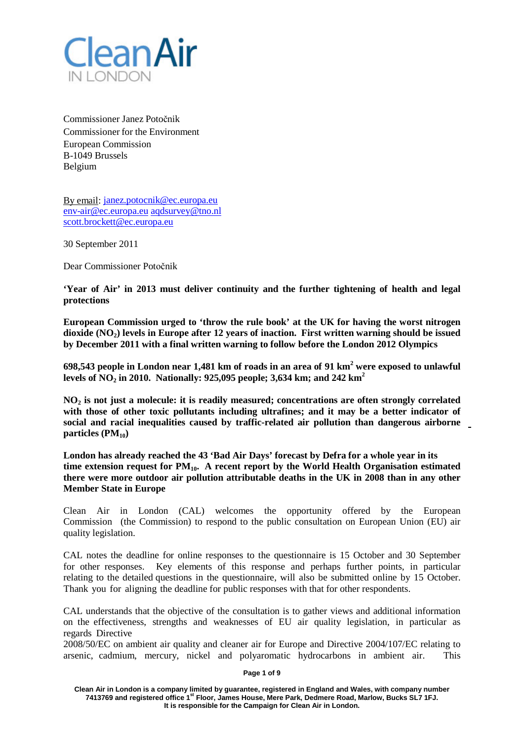

Commissioner Janez Potočnik Commissioner for the Environment European Commission B-1049 Brussels Belgium

By email: [janez.potocnik@ec.europa.eu](mailto:janez.potocnik@ec.europa.eu) [env-air@ec.europa.eu](mailto:env-air@ec.europa.eu) [aqdsurvey@tno.nl](mailto:env-air@ec.europa.eu) [scott.brockett@ec.europa.eu](mailto:scott.brockett@ec.europa.eu)

30 September 2011

Dear Commissioner Potočnik

**'Year of Air' in 2013 must deliver continuity and the further tightening of health and legal protections**

**European Commission urged to 'throw the rule book' at the UK for having the worst nitrogen dioxide (NO2) levels in Europe after 12 years of inaction. First written warning should be issued by December 2011 with a final written warning to follow before the London 2012 Olympics**

**698,543 people in London near 1,481 km of roads in an area of 91 km<sup>2</sup> were exposed to unlawful levels of NO2 in 2010. Nationally: 925,095 people; 3,634 km; and 242 km<sup>2</sup>**

**NO2 is not just a molecule: it is readily measured; concentrations are often strongly correlated with those of other toxic pollutants including ultrafines; and it may be a better indicator of social and racial inequalities caused by traffic-related air pollution than dangerous airborne**  particles (PM<sub>10</sub>)

**London has already reached the 43 'Bad Air Days' forecast by Defra for a whole year in its time extension request for PM10. A recent report by the World Health Organisation estimated there were more outdoor air pollution attributable deaths in the UK in 2008 than in any other Member State in Europe**

Clean Air in London (CAL) welcomes the opportunity offered by the European Commission (the Commission) to respond to the public consultation on European Union (EU) air quality legislation.

CAL notes the deadline for online responses to the questionnaire is 15 October and 30 September for other responses. Key elements of this response and perhaps further points, in particular relating to the detailed questions in the questionnaire, will also be submitted online by 15 October. Thank you for aligning the deadline for public responses with that for other respondents.

CAL understands that the objective of the consultation is to gather views and additional information on the effectiveness, strengths and weaknesses of EU air quality legislation, in particular as regards Directive

2008/50/EC on ambient air quality and cleaner air for Europe and Directive 2004/107/EC relating to arsenic, cadmium, mercury, nickel and polyaromatic hydrocarbons in ambient air. This

**Page 1 of 9**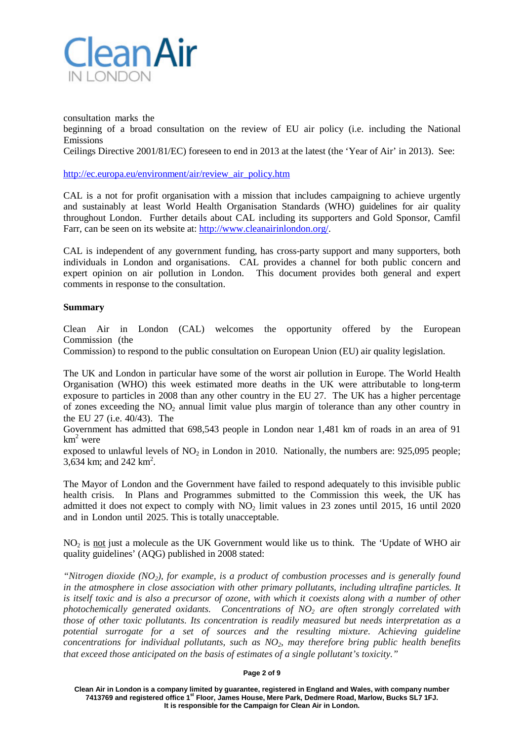

consultation marks the

beginning of a broad consultation on the review of EU air policy (i.e. including the National Emissions

Ceilings Directive 2001/81/EC) foreseen to end in 2013 at the latest (the 'Year of Air' in 2013). See:

[http://ec.europa.eu/environment/air/review\\_air\\_policy.htm](http://ec.europa.eu/environment/air/review_air_policy.htm)

CAL is a not for profit organisation with a mission that includes campaigning to achieve urgently and sustainably at least World Health Organisation Standards (WHO) guidelines for air quality throughout London. Further details about CAL including its supporters and Gold Sponsor, Camfil Farr, can be seen on its website at: [http://www.cleanairinlondon.org/.](http://www.cleanairinlondon.org/)

CAL is independent of any government funding, has cross-party support and many supporters, both individuals in London and organisations. CAL provides a channel for both public concern and expert opinion on air pollution in London. This document provides both general and expert comments in response to the consultation.

# **Summary**

Clean Air in London (CAL) welcomes the opportunity offered by the European Commission (the

Commission) to respond to the public consultation on European Union (EU) air quality legislation.

The UK and London in particular have some of the worst air pollution in Europe. The World Health Organisation (WHO) this week estimated more deaths in the UK were attributable to long-term exposure to particles in 2008 than any other country in the EU 27. The UK has a higher percentage of zones exceeding the  $NO<sub>2</sub>$  annual limit value plus margin of tolerance than any other country in the EU 27 (i.e. 40/43). The

Government has admitted that 698,543 people in London near 1,481 km of roads in an area of 91  $km^2$  were

exposed to unlawful levels of  $NO<sub>2</sub>$  in London in 2010. Nationally, the numbers are: 925,095 people;  $3,634$  km; and  $242$  km<sup>2</sup>.

The Mayor of London and the Government have failed to respond adequately to this invisible public health crisis. In Plans and Programmes submitted to the Commission this week, the UK has admitted it does not expect to comply with NO<sub>2</sub> limit values in 23 zones until 2015, 16 until 2020 and in London until 2025. This is totally unacceptable.

NO2 is not just a molecule as the UK Government would like us to think. The 'Update of WHO air quality guidelines' (AQG) published in 2008 stated:

*"Nitrogen dioxide (NO2), for example, is a product of combustion processes and is generally found in the atmosphere in close association with other primary pollutants, including ultrafine particles. It is itself toxic and is also a precursor of ozone, with which it coexists along with a number of other photochemically generated oxidants. Concentrations of NO2 are often strongly correlated with those of other toxic pollutants. Its concentration is readily measured but needs interpretation as a potential surrogate for a set of sources and the resulting mixture. Achieving guideline concentrations for individual pollutants, such as NO2, may therefore bring public health benefits that exceed those anticipated on the basis of estimates of a single pollutant's toxicity."*

#### **Page 2 of 9**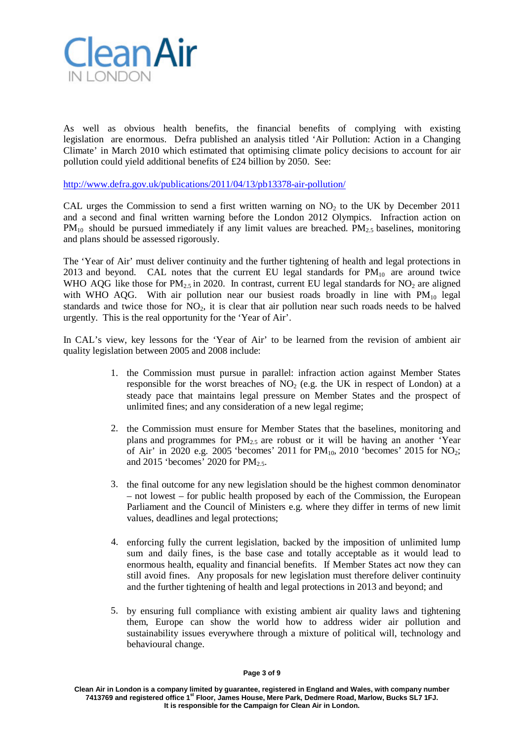

As well as obvious health benefits, the financial benefits of complying with existing legislation are enormous. Defra published an analysis titled 'Air Pollution: Action in a Changing Climate' in March 2010 which estimated that optimising climate policy decisions to account for air pollution could yield additional benefits of £24 billion by 2050. See:

<http://www.defra.gov.uk/publications/2011/04/13/pb13378-air-pollution/>

CAL urges the Commission to send a first written warning on  $NO<sub>2</sub>$  to the UK by December 2011 and a second and final written warning before the London 2012 Olympics. Infraction action on  $PM_{10}$  should be pursued immediately if any limit values are breached.  $PM_{2.5}$  baselines, monitoring and plans should be assessed rigorously.

The 'Year of Air' must deliver continuity and the further tightening of health and legal protections in 2013 and beyond. CAL notes that the current EU legal standards for  $PM_{10}$  are around twice WHO AQG like those for  $PM_{2.5}$  in 2020. In contrast, current EU legal standards for  $NO_2$  are aligned with WHO AQG. With air pollution near our busiest roads broadly in line with  $PM_{10}$  legal standards and twice those for  $NO<sub>2</sub>$ , it is clear that air pollution near such roads needs to be halved urgently. This is the real opportunity for the 'Year of Air'.

In CAL's view, key lessons for the 'Year of Air' to be learned from the revision of ambient air quality legislation between 2005 and 2008 include:

- 1. the Commission must pursue in parallel: infraction action against Member States responsible for the worst breaches of  $NO<sub>2</sub>$  (e.g. the UK in respect of London) at a steady pace that maintains legal pressure on Member States and the prospect of unlimited fines; and any consideration of a new legal regime;
- 2. the Commission must ensure for Member States that the baselines, monitoring and plans and programmes for  $PM<sub>2.5</sub>$  are robust or it will be having an another 'Year of Air' in 2020 e.g. 2005 'becomes' 2011 for  $PM_{10}$ , 2010 'becomes' 2015 for NO<sub>2</sub>; and 2015 'becomes' 2020 for  $PM_{2.5}$ .
- 3. the final outcome for any new legislation should be the highest common denominator – not lowest – for public health proposed by each of the Commission, the European Parliament and the Council of Ministers e.g. where they differ in terms of new limit values, deadlines and legal protections;
- 4. enforcing fully the current legislation, backed by the imposition of unlimited lump sum and daily fines, is the base case and totally acceptable as it would lead to enormous health, equality and financial benefits. If Member States act now they can still avoid fines. Any proposals for new legislation must therefore deliver continuity and the further tightening of health and legal protections in 2013 and beyond; and
- 5. by ensuring full compliance with existing ambient air quality laws and tightening them, Europe can show the world how to address wider air pollution and sustainability issues everywhere through a mixture of political will, technology and behavioural change.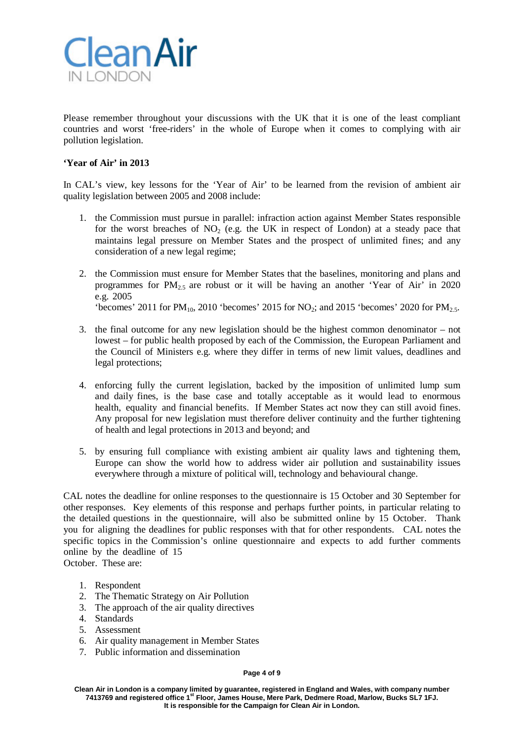

Please remember throughout your discussions with the UK that it is one of the least compliant countries and worst 'free-riders' in the whole of Europe when it comes to complying with air pollution legislation.

# **'Year of Air' in 2013**

In CAL's view, key lessons for the 'Year of Air' to be learned from the revision of ambient air quality legislation between 2005 and 2008 include:

- 1. the Commission must pursue in parallel: infraction action against Member States responsible for the worst breaches of  $NO<sub>2</sub>$  (e.g. the UK in respect of London) at a steady pace that maintains legal pressure on Member States and the prospect of unlimited fines; and any consideration of a new legal regime;
- 2. the Commission must ensure for Member States that the baselines, monitoring and plans and programmes for  $PM_{2.5}$  are robust or it will be having an another 'Year of Air' in 2020 e.g. 2005

'becomes' 2011 for PM<sub>10</sub>, 2010 'becomes' 2015 for NO<sub>2</sub>; and 2015 'becomes' 2020 for PM<sub>2.5</sub>.

- 3. the final outcome for any new legislation should be the highest common denominator not lowest – for public health proposed by each of the Commission, the European Parliament and the Council of Ministers e.g. where they differ in terms of new limit values, deadlines and legal protections;
- 4. enforcing fully the current legislation, backed by the imposition of unlimited lump sum and daily fines, is the base case and totally acceptable as it would lead to enormous health, equality and financial benefits. If Member States act now they can still avoid fines. Any proposal for new legislation must therefore deliver continuity and the further tightening of health and legal protections in 2013 and beyond; and
- 5. by ensuring full compliance with existing ambient air quality laws and tightening them, Europe can show the world how to address wider air pollution and sustainability issues everywhere through a mixture of political will, technology and behavioural change.

CAL notes the deadline for online responses to the questionnaire is 15 October and 30 September for other responses. Key elements of this response and perhaps further points, in particular relating to the detailed questions in the questionnaire, will also be submitted online by 15 October. Thank you for aligning the deadlines for public responses with that for other respondents. CAL notes the specific topics in the Commission's online questionnaire and expects to add further comments online by the deadline of 15 October. These are:

- 1. Respondent
- 2. The Thematic Strategy on Air Pollution
- 3. The approach of the air quality directives
- 4. Standards
- 5. Assessment
- 6. Air quality management in Member States
- 7. Public information and dissemination

#### **Page 4 of 9**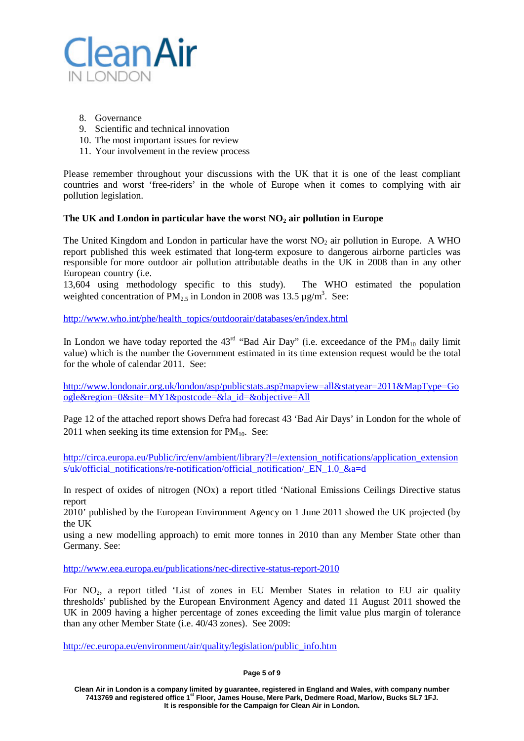

- 8. Governance
- 9. Scientific and technical innovation
- 10. The most important issues for review
- 11. Your involvement in the review process

Please remember throughout your discussions with the UK that it is one of the least compliant countries and worst 'free-riders' in the whole of Europe when it comes to complying with air pollution legislation.

## **The UK and London in particular have the worst NO2 air pollution in Europe**

The United Kingdom and London in particular have the worst  $NO<sub>2</sub>$  air pollution in Europe. A WHO report published this week estimated that long-term exposure to dangerous airborne particles was responsible for more outdoor air pollution attributable deaths in the UK in 2008 than in any other European country (i.e.

13,604 using methodology specific to this study). The WHO estimated the population weighted concentration of PM<sub>2.5</sub> in London in 2008 was 13.5  $\mu$ g/m<sup>3</sup>. See:

[http://www.who.int/phe/health\\_topics/outdoorair/databases/en/index.html](http://www.who.int/phe/health_topics/outdoorair/databases/en/index.html)

In London we have today reported the  $43<sup>rd</sup>$  "Bad Air Day" (i.e. exceedance of the PM<sub>10</sub> daily limit value) which is the number the Government estimated in its time extension request would be the total for the whole of calendar 2011. See:

[http://www.londonair.org.uk/london/asp/publicstats.asp?mapview=all&statyear=2011&MapType=Go](http://www.londonair.org.uk/london/asp/publicstats.asp?mapview=all&statyear=2011&MapType=Google®ion=0&site=MY1&postcode=&la_id=&objective=All) [ogle&region=0&site=MY1&postcode=&la\\_id=&objective=All](http://www.londonair.org.uk/london/asp/publicstats.asp?mapview=all&statyear=2011&MapType=Google®ion=0&site=MY1&postcode=&la_id=&objective=All)

Page 12 of the attached report shows Defra had forecast 43 'Bad Air Days' in London for the whole of 2011 when seeking its time extension for  $PM_{10}$ . See:

[http://circa.europa.eu/Public/irc/env/ambient/library?l=/extension\\_notifications/application\\_extension](http://circa.europa.eu/Public/irc/env/ambient/library?l=/extension_notifications/application_extensions/uk/official_notifications/re-notification/official_notification/_EN_1.0_&a=d) [s/uk/official\\_notifications/re-notification/official\\_notification/\\_EN\\_1.0\\_&a=d](http://circa.europa.eu/Public/irc/env/ambient/library?l=/extension_notifications/application_extensions/uk/official_notifications/re-notification/official_notification/_EN_1.0_&a=d)

In respect of oxides of nitrogen (NOx) a report titled 'National Emissions Ceilings Directive status report

2010' published by the European Environment Agency on 1 June 2011 showed the UK projected (by the UK

using a new modelling approach) to emit more tonnes in 2010 than any Member State other than Germany. See:

<http://www.eea.europa.eu/publications/nec-directive-status-report-2010>

For NO<sub>2</sub>, a report titled 'List of zones in EU Member States in relation to EU air quality thresholds' published by the European Environment Agency and dated 11 August 2011 showed the UK in 2009 having a higher percentage of zones exceeding the limit value plus margin of tolerance than any other Member State (i.e. 40/43 zones). See 2009:

[http://ec.europa.eu/environment/air/quality/legislation/public\\_info.htm](http://ec.europa.eu/environment/air/quality/legislation/public_info.htm)

#### **Page 5 of 9**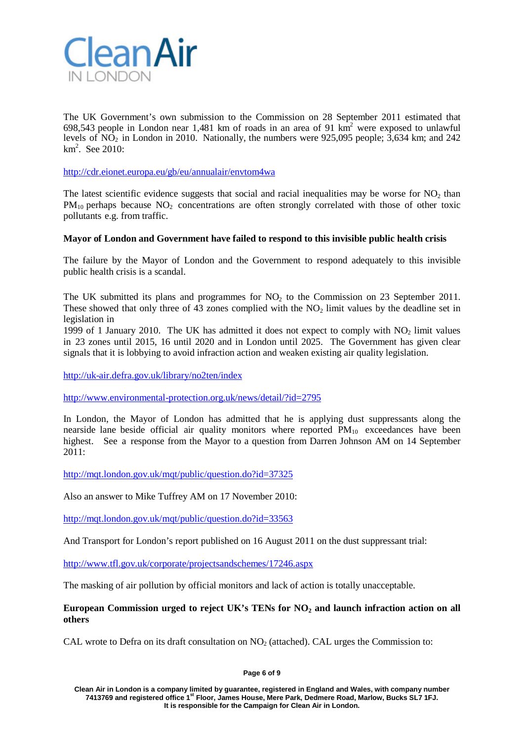

The UK Government's own submission to the Commission on 28 September 2011 estimated that 698,543 people in London near 1,481 km of roads in an area of 91  $km^2$  were exposed to unlawful levels of NO2 in London in 2010. Nationally, the numbers were 925,095 people; 3,634 km; and 242  $km<sup>2</sup>$ . See 2010:

<http://cdr.eionet.europa.eu/gb/eu/annualair/envtom4wa>

The latest scientific evidence suggests that social and racial inequalities may be worse for  $NO<sub>2</sub>$  than  $PM_{10}$  perhaps because NO<sub>2</sub> concentrations are often strongly correlated with those of other toxic pollutants e.g. from traffic.

## **Mayor of London and Government have failed to respond to this invisible public health crisis**

The failure by the Mayor of London and the Government to respond adequately to this invisible public health crisis is a scandal.

The UK submitted its plans and programmes for  $NO<sub>2</sub>$  to the Commission on 23 September 2011. These showed that only three of 43 zones complied with the  $NO<sub>2</sub>$  limit values by the deadline set in legislation in

1999 of 1 January 2010. The UK has admitted it does not expect to comply with  $NO<sub>2</sub>$  limit values in 23 zones until 2015, 16 until 2020 and in London until 2025. The Government has given clear signals that it is lobbying to avoid infraction action and weaken existing air quality legislation.

<http://uk-air.defra.gov.uk/library/no2ten/index>

<http://www.environmental-protection.org.uk/news/detail/?id=2795>

In London, the Mayor of London has admitted that he is applying dust suppressants along the nearside lane beside official air quality monitors where reported  $PM_{10}$  exceedances have been highest. See a response from the Mayor to a question from Darren Johnson AM on 14 September 2011:

<http://mqt.london.gov.uk/mqt/public/question.do?id=37325>

Also an answer to Mike Tuffrey AM on 17 November 2010:

<http://mqt.london.gov.uk/mqt/public/question.do?id=33563>

And Transport for London's report published on 16 August 2011 on the dust suppressant trial:

<http://www.tfl.gov.uk/corporate/projectsandschemes/17246.aspx>

The masking of air pollution by official monitors and lack of action is totally unacceptable.

**European Commission urged to reject UK's TENs for NO2 and launch infraction action on all others**

CAL wrote to Defra on its draft consultation on  $NO<sub>2</sub>$  (attached). CAL urges the Commission to:

**Page 6 of 9**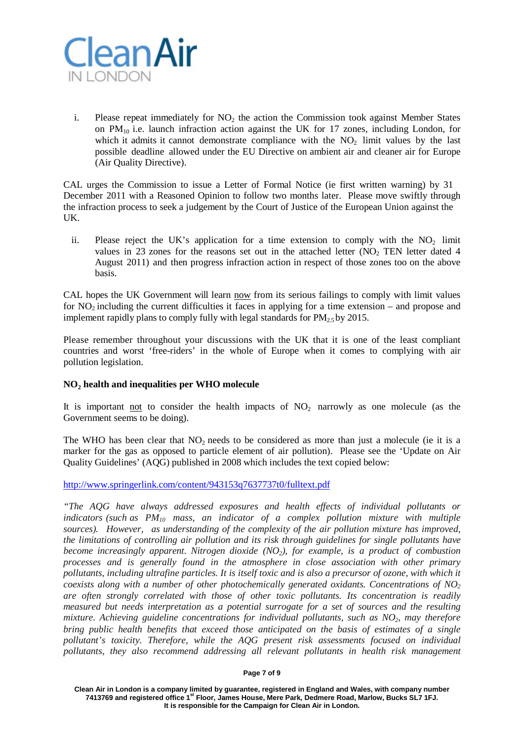

i. Please repeat immediately for  $NO<sub>2</sub>$  the action the Commission took against Member States on  $PM_{10}$  i.e. launch infraction action against the UK for 17 zones, including London, for which it admits it cannot demonstrate compliance with the  $NO<sub>2</sub>$  limit values by the last possible deadline allowed under the EU Directive on ambient air and cleaner air for Europe (Air Quality Directive).

CAL urges the Commission to issue a Letter of Formal Notice (ie first written warning) by 31 December 2011 with a Reasoned Opinion to follow two months later. Please move swiftly through the infraction process to seek a judgement by the Court of Justice of the European Union against the UK.

ii. Please reject the UK's application for a time extension to comply with the  $NO<sub>2</sub>$  limit values in 23 zones for the reasons set out in the attached letter  $(NO<sub>2</sub> TEN)$  letter dated 4 August 2011) and then progress infraction action in respect of those zones too on the above basis.

CAL hopes the UK Government will learn now from its serious failings to comply with limit values for  $NO<sub>2</sub>$  including the current difficulties it faces in applying for a time extension – and propose and implement rapidly plans to comply fully with legal standards for  $PM_{2.5}$  by 2015.

Please remember throughout your discussions with the UK that it is one of the least compliant countries and worst 'free-riders' in the whole of Europe when it comes to complying with air pollution legislation.

## **NO2 health and inequalities per WHO molecule**

It is important not to consider the health impacts of  $NO<sub>2</sub>$  narrowly as one molecule (as the Government seems to be doing).

The WHO has been clear that  $NO<sub>2</sub>$  needs to be considered as more than just a molecule (ie it is a marker for the gas as opposed to particle element of air pollution). Please see the 'Update on Air Quality Guidelines' (AQG) published in 2008 which includes the text copied below:

<http://www.springerlink.com/content/943153q7637737t0/fulltext.pdf>

*"The AQG have always addressed exposures and health effects of individual pollutants or indicators (such as PM10 mass, an indicator of a complex pollution mixture with multiple sources). However, as understanding of the complexity of the air pollution mixture has improved, the limitations of controlling air pollution and its risk through guidelines for single pollutants have become increasingly apparent. Nitrogen dioxide (NO2), for example, is a product of combustion processes and is generally found in the atmosphere in close association with other primary pollutants, including ultrafine particles. It is itself toxic and is also a precursor of ozone, with which it coexists along with a number of other photochemically generated oxidants. Concentrations of NO2 are often strongly correlated with those of other toxic pollutants. Its concentration is readily measured but needs interpretation as a potential surrogate for a set of sources and the resulting mixture. Achieving guideline concentrations for individual pollutants, such as NO2, may therefore bring public health benefits that exceed those anticipated on the basis of estimates of a single pollutant's toxicity. Therefore, while the AQG present risk assessments focused on individual pollutants, they also recommend addressing all relevant pollutants in health risk management*

#### **Page 7 of 9**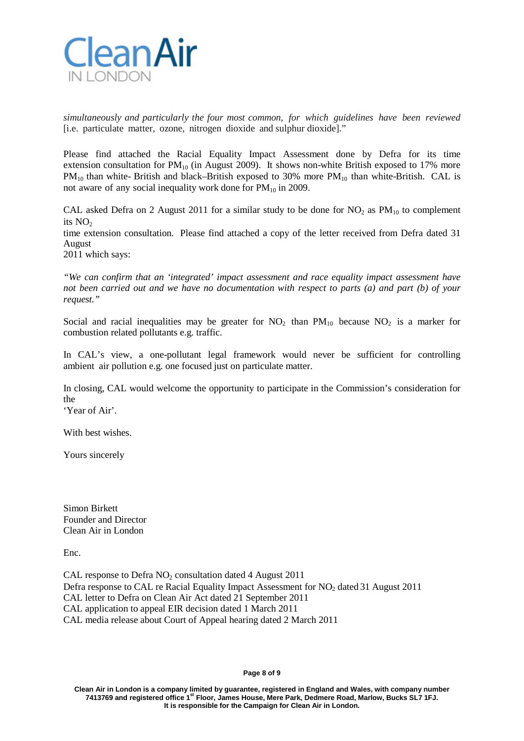

*simultaneously and particularly the four most common, for which guidelines have been reviewed* [i.e. particulate matter, ozone, nitrogen dioxide and sulphur dioxide]."

Please find attached the Racial Equality Impact Assessment done by Defra for its time extension consultation for  $PM_{10}$  (in August 2009). It shows non-white British exposed to 17% more  $PM_{10}$  than white-British and black–British exposed to 30% more  $PM_{10}$  than white-British. CAL is not aware of any social inequality work done for  $PM_{10}$  in 2009.

CAL asked Defra on 2 August 2011 for a similar study to be done for  $NO<sub>2</sub>$  as  $PM<sub>10</sub>$  to complement its  $NO<sub>2</sub>$ 

time extension consultation. Please find attached a copy of the letter received from Defra dated 31 August

2011 which says:

*"We can confirm that an 'integrated' impact assessment and race equality impact assessment have not been carried out and we have no documentation with respect to parts (a) and part (b) of your request."*

Social and racial inequalities may be greater for  $NO<sub>2</sub>$  than  $PM<sub>10</sub>$  because  $NO<sub>2</sub>$  is a marker for combustion related pollutants e.g. traffic.

In CAL's view, a one-pollutant legal framework would never be sufficient for controlling ambient air pollution e.g. one focused just on particulate matter.

In closing, CAL would welcome the opportunity to participate in the Commission's consideration for the

'Year of Air'.

With best wishes.

Yours sincerely

Simon Birkett Founder and Director Clean Air in London

Enc.

CAL response to Defra  $NO<sub>2</sub>$  consultation dated 4 August 2011 Defra response to CAL re Racial Equality Impact Assessment for  $NO<sub>2</sub>$  dated 31 August 2011 CAL letter to Defra on Clean Air Act dated 21 September 2011 CAL application to appeal EIR decision dated 1 March 2011 CAL media release about Court of Appeal hearing dated 2 March 2011

#### **Page 8 of 9**